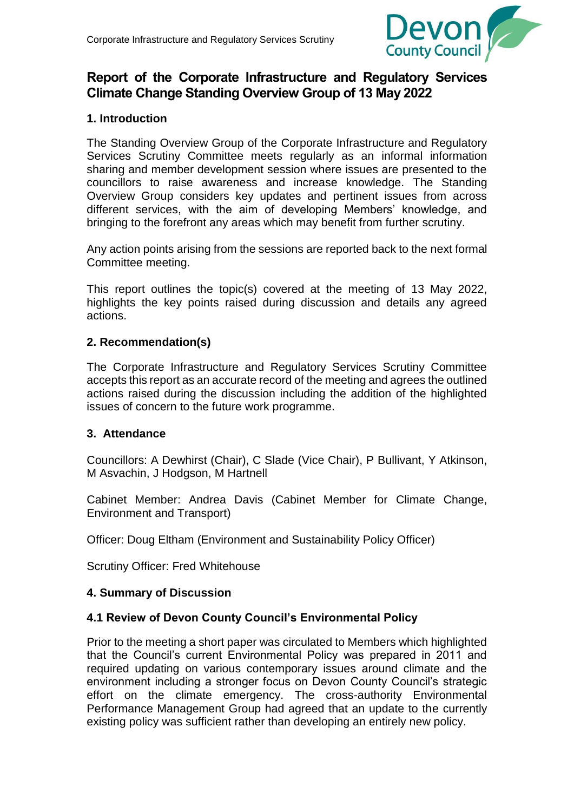

# **Report of the Corporate Infrastructure and Regulatory Services Climate Change Standing Overview Group of 13 May 2022**

## **1. Introduction**

The Standing Overview Group of the Corporate Infrastructure and Regulatory Services Scrutiny Committee meets regularly as an informal information sharing and member development session where issues are presented to the councillors to raise awareness and increase knowledge. The Standing Overview Group considers key updates and pertinent issues from across different services, with the aim of developing Members' knowledge, and bringing to the forefront any areas which may benefit from further scrutiny.

Any action points arising from the sessions are reported back to the next formal Committee meeting.

This report outlines the topic(s) covered at the meeting of 13 May 2022, highlights the key points raised during discussion and details any agreed actions.

#### **2. Recommendation(s)**

The Corporate Infrastructure and Regulatory Services Scrutiny Committee accepts this report as an accurate record of the meeting and agrees the outlined actions raised during the discussion including the addition of the highlighted issues of concern to the future work programme.

#### **3. Attendance**

Councillors: A Dewhirst (Chair), C Slade (Vice Chair), P Bullivant, Y Atkinson, M Asvachin, J Hodgson, M Hartnell

Cabinet Member: Andrea Davis (Cabinet Member for Climate Change, Environment and Transport)

Officer: Doug Eltham (Environment and Sustainability Policy Officer)

Scrutiny Officer: Fred Whitehouse

#### **4. Summary of Discussion**

#### **4.1 Review of Devon County Council's Environmental Policy**

Prior to the meeting a short paper was circulated to Members which highlighted that the Council's current Environmental Policy was prepared in 2011 and required updating on various contemporary issues around climate and the environment including a stronger focus on Devon County Council's strategic effort on the climate emergency. The cross-authority Environmental Performance Management Group had agreed that an update to the currently existing policy was sufficient rather than developing an entirely new policy.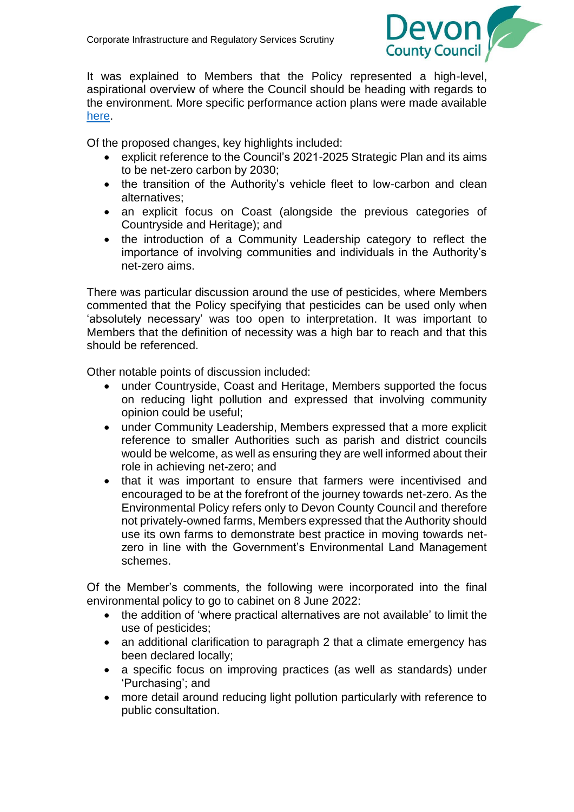

It was explained to Members that the Policy represented a high-level, aspirational overview of where the Council should be heading with regards to the environment. More specific performance action plans were made available [here.](https://www.devon.gov.uk/environment/our-environmental-performance/environmental-performance-action-plans)

Of the proposed changes, key highlights included:

- explicit reference to the Council's 2021-2025 Strategic Plan and its aims to be net-zero carbon by 2030;
- the transition of the Authority's vehicle fleet to low-carbon and clean alternatives;
- an explicit focus on Coast (alongside the previous categories of Countryside and Heritage); and
- the introduction of a Community Leadership category to reflect the importance of involving communities and individuals in the Authority's net-zero aims.

There was particular discussion around the use of pesticides, where Members commented that the Policy specifying that pesticides can be used only when 'absolutely necessary' was too open to interpretation. It was important to Members that the definition of necessity was a high bar to reach and that this should be referenced.

Other notable points of discussion included:

- under Countryside, Coast and Heritage, Members supported the focus on reducing light pollution and expressed that involving community opinion could be useful;
- under Community Leadership, Members expressed that a more explicit reference to smaller Authorities such as parish and district councils would be welcome, as well as ensuring they are well informed about their role in achieving net-zero; and
- that it was important to ensure that farmers were incentivised and encouraged to be at the forefront of the journey towards net-zero. As the Environmental Policy refers only to Devon County Council and therefore not privately-owned farms, Members expressed that the Authority should use its own farms to demonstrate best practice in moving towards netzero in line with the Government's Environmental Land Management schemes.

Of the Member's comments, the following were incorporated into the final environmental policy to go to cabinet on 8 June 2022:

- the addition of 'where practical alternatives are not available' to limit the use of pesticides;
- an additional clarification to paragraph 2 that a climate emergency has been declared locally;
- a specific focus on improving practices (as well as standards) under 'Purchasing'; and
- more detail around reducing light pollution particularly with reference to public consultation.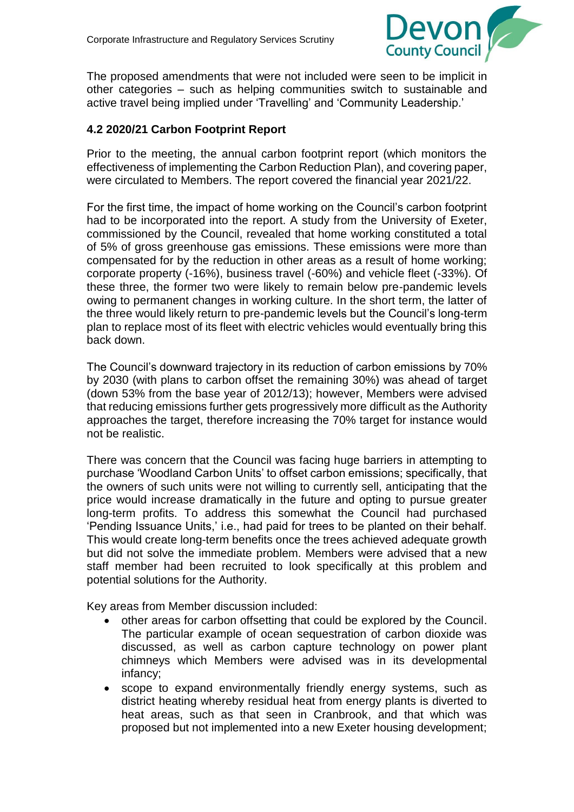

The proposed amendments that were not included were seen to be implicit in other categories – such as helping communities switch to sustainable and active travel being implied under 'Travelling' and 'Community Leadership.'

## **4.2 2020/21 Carbon Footprint Report**

Prior to the meeting, the annual carbon footprint report (which monitors the effectiveness of implementing the Carbon Reduction Plan), and covering paper, were circulated to Members. The report covered the financial year 2021/22.

For the first time, the impact of home working on the Council's carbon footprint had to be incorporated into the report. A study from the University of Exeter, commissioned by the Council, revealed that home working constituted a total of 5% of gross greenhouse gas emissions. These emissions were more than compensated for by the reduction in other areas as a result of home working; corporate property (-16%), business travel (-60%) and vehicle fleet (-33%). Of these three, the former two were likely to remain below pre-pandemic levels owing to permanent changes in working culture. In the short term, the latter of the three would likely return to pre-pandemic levels but the Council's long-term plan to replace most of its fleet with electric vehicles would eventually bring this back down.

The Council's downward trajectory in its reduction of carbon emissions by 70% by 2030 (with plans to carbon offset the remaining 30%) was ahead of target (down 53% from the base year of 2012/13); however, Members were advised that reducing emissions further gets progressively more difficult as the Authority approaches the target, therefore increasing the 70% target for instance would not be realistic.

There was concern that the Council was facing huge barriers in attempting to purchase 'Woodland Carbon Units' to offset carbon emissions; specifically, that the owners of such units were not willing to currently sell, anticipating that the price would increase dramatically in the future and opting to pursue greater long-term profits. To address this somewhat the Council had purchased 'Pending Issuance Units,' i.e., had paid for trees to be planted on their behalf. This would create long-term benefits once the trees achieved adequate growth but did not solve the immediate problem. Members were advised that a new staff member had been recruited to look specifically at this problem and potential solutions for the Authority.

Key areas from Member discussion included:

- other areas for carbon offsetting that could be explored by the Council. The particular example of ocean sequestration of carbon dioxide was discussed, as well as carbon capture technology on power plant chimneys which Members were advised was in its developmental infancy;
- scope to expand environmentally friendly energy systems, such as district heating whereby residual heat from energy plants is diverted to heat areas, such as that seen in Cranbrook, and that which was proposed but not implemented into a new Exeter housing development;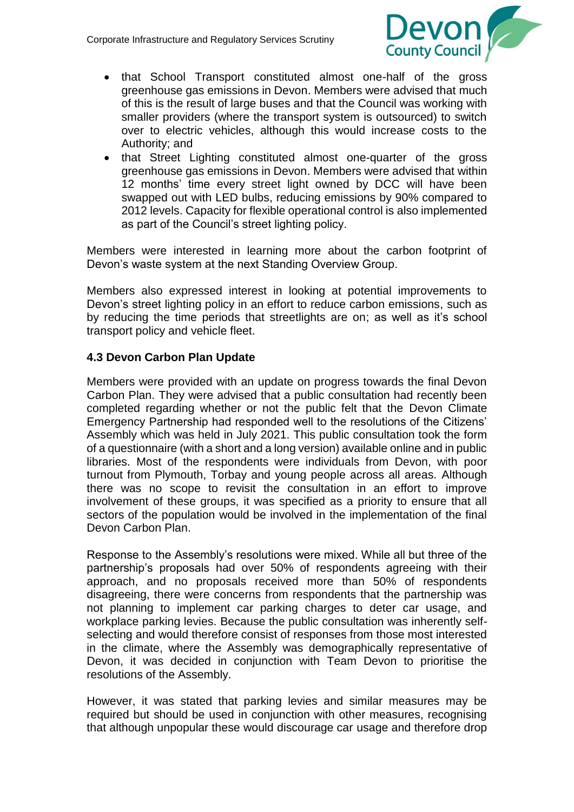

- that School Transport constituted almost one-half of the gross greenhouse gas emissions in Devon. Members were advised that much of this is the result of large buses and that the Council was working with smaller providers (where the transport system is outsourced) to switch over to electric vehicles, although this would increase costs to the Authority; and
- that Street Lighting constituted almost one-quarter of the gross greenhouse gas emissions in Devon. Members were advised that within 12 months' time every street light owned by DCC will have been swapped out with LED bulbs, reducing emissions by 90% compared to 2012 levels. Capacity for flexible operational control is also implemented as part of the Council's street lighting policy.

Members were interested in learning more about the carbon footprint of Devon's waste system at the next Standing Overview Group.

Members also expressed interest in looking at potential improvements to Devon's street lighting policy in an effort to reduce carbon emissions, such as by reducing the time periods that streetlights are on; as well as it's school transport policy and vehicle fleet.

## **4.3 Devon Carbon Plan Update**

Members were provided with an update on progress towards the final Devon Carbon Plan. They were advised that a public consultation had recently been completed regarding whether or not the public felt that the Devon Climate Emergency Partnership had responded well to the resolutions of the Citizens' Assembly which was held in July 2021. This public consultation took the form of a questionnaire (with a short and a long version) available online and in public libraries. Most of the respondents were individuals from Devon, with poor turnout from Plymouth, Torbay and young people across all areas. Although there was no scope to revisit the consultation in an effort to improve involvement of these groups, it was specified as a priority to ensure that all sectors of the population would be involved in the implementation of the final Devon Carbon Plan.

Response to the Assembly's resolutions were mixed. While all but three of the partnership's proposals had over 50% of respondents agreeing with their approach, and no proposals received more than 50% of respondents disagreeing, there were concerns from respondents that the partnership was not planning to implement car parking charges to deter car usage, and workplace parking levies. Because the public consultation was inherently selfselecting and would therefore consist of responses from those most interested in the climate, where the Assembly was demographically representative of Devon, it was decided in conjunction with Team Devon to prioritise the resolutions of the Assembly.

However, it was stated that parking levies and similar measures may be required but should be used in conjunction with other measures, recognising that although unpopular these would discourage car usage and therefore drop